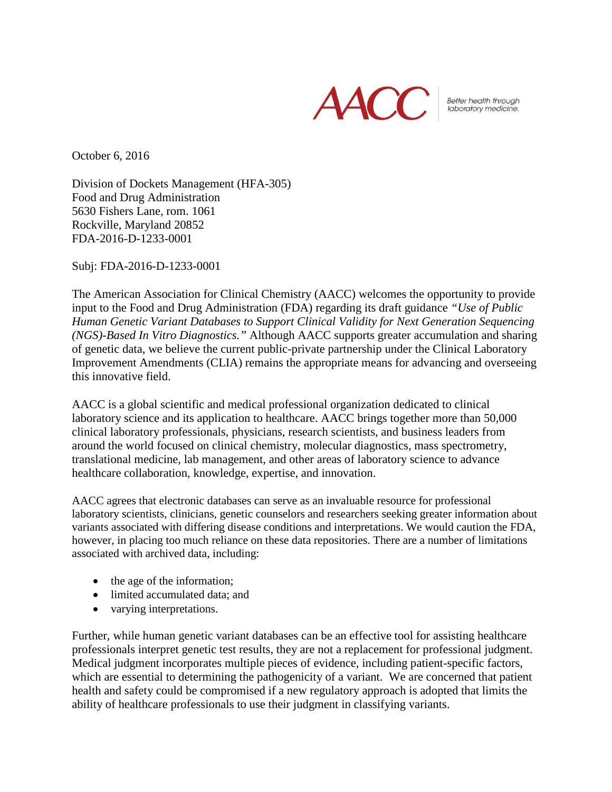

Better health through<br>laboratory medicine.

October 6, 2016

Division of Dockets Management (HFA-305) Food and Drug Administration 5630 Fishers Lane, rom. 1061 Rockville, Maryland 20852 FDA-2016-D-1233-0001

Subj: FDA-2016-D-1233-0001

The American Association for Clinical Chemistry (AACC) welcomes the opportunity to provide input to the Food and Drug Administration (FDA) regarding its draft guidance *"Use of Public Human Genetic Variant Databases to Support Clinical Validity for Next Generation Sequencing (NGS)-Based In Vitro Diagnostics."* Although AACC supports greater accumulation and sharing of genetic data, we believe the current public-private partnership under the Clinical Laboratory Improvement Amendments (CLIA) remains the appropriate means for advancing and overseeing this innovative field.

AACC is a global scientific and medical professional organization dedicated to clinical laboratory science and its application to healthcare. AACC brings together more than 50,000 clinical laboratory professionals, physicians, research scientists, and business leaders from around the world focused on clinical chemistry, molecular diagnostics, mass spectrometry, translational medicine, lab management, and other areas of laboratory science to advance healthcare collaboration, knowledge, expertise, and innovation.

AACC agrees that electronic databases can serve as an invaluable resource for professional laboratory scientists, clinicians, genetic counselors and researchers seeking greater information about variants associated with differing disease conditions and interpretations. We would caution the FDA, however, in placing too much reliance on these data repositories. There are a number of limitations associated with archived data, including:

- the age of the information;
- limited accumulated data; and
- varying interpretations.

Further, while human genetic variant databases can be an effective tool for assisting healthcare professionals interpret genetic test results, they are not a replacement for professional judgment. Medical judgment incorporates multiple pieces of evidence, including patient-specific factors, which are essential to determining the pathogenicity of a variant. We are concerned that patient health and safety could be compromised if a new regulatory approach is adopted that limits the ability of healthcare professionals to use their judgment in classifying variants.